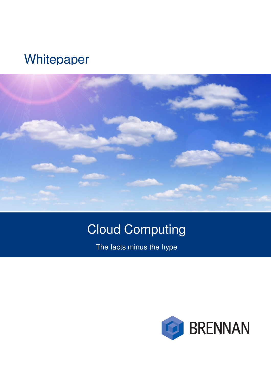## **Whitepaper**



# Cloud Computing

The facts minus the hype

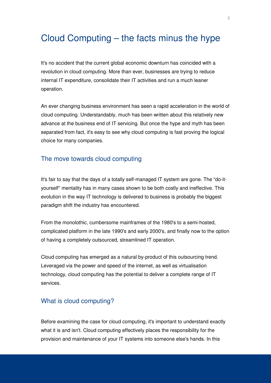### Cloud Computing – the facts minus the hype

It's no accident that the current global economic downturn has coincided with a revolution in cloud computing. More than ever, businesses are trying to reduce internal IT expenditure, consolidate their IT activities and run a much leaner operation.

An ever changing business environment has seen a rapid acceleration in the world of cloud computing. Understandably, much has been written about this relatively new advance at the business end of IT servicing. But once the hype and myth has been separated from fact, it's easy to see why cloud computing is fast proving the logical choice for many companies.

#### The move towards cloud computing

It's fair to say that the days of a totally self-managed IT system are gone. The "do-ityourself" mentality has in many cases shown to be both costly and ineffective. This evolution in the way IT technology is delivered to business is probably the biggest paradigm shift the industry has encountered.

From the monolothic, cumbersome mainframes of the 1980's to a semi-hosted, complicated platform in the late 1990's and early 2000's, and finally now to the option of having a completely outsourced, streamlined IT operation.

Cloud computing has emerged as a natural by-product of this outsourcing trend. Leveraged via the power and speed of the internet, as well as virtualisation technology, cloud computing has the potential to deliver a complete range of IT services.

#### What is cloud computing?

Before examining the case for cloud computing, it's important to understand exactly what it is and isn't. Cloud computing effectively places the responsibility for the provision and maintenance of your IT systems into someone else's hands. In this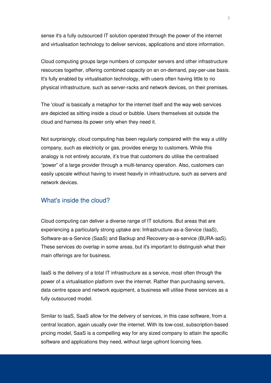sense it's a fully outsourced IT solution operated through the power of the internet and virtualisation technology to deliver services, applications and store information.

Cloud computing groups large numbers of computer servers and other infrastructure resources together, offering combined capacity on an on-demand, pay-per-use basis. It's fully enabled by virtualisation technology, with users often having little to no physical infrastructure, such as server-racks and network devices, on their premises.

The 'cloud' is basically a metaphor for the internet itself and the way web services are depicted as sitting inside a cloud or bubble. Users themselves sit outside the cloud and harness its power only when they need it.

Not surprisingly, cloud computing has been regularly compared with the way a utility company, such as electricity or gas, provides energy to customers. While this analogy is not entirely accurate, it's true that customers do utilise the centralised "power" of a large provider through a multi-tenancy operation. Also, customers can easily upscale without having to invest heavily in infrastructure, such as servers and network devices.

#### What's inside the cloud?

Cloud computing can deliver a diverse range of IT solutions. But areas that are experiencing a particularly strong uptake are: Infrastructure-as-a-Service (IaaS), Software-as-a-Service (SaaS) and Backup and Recovery-as-a-service (BURA-aaS). These services do overlap in some areas, but it's important to distinguish what their main offerings are for business.

IaaS is the delivery of a total IT infrastructure as a service, most often through the power of a virtualisation platform over the internet. Rather than purchasing servers, data centre space and network equipment, a business will utilise these services as a fully outsourced model.

Similar to IaaS, SaaS allow for the delivery of services, in this case software, from a central location, again usually over the internet. With its low-cost, subscription-based pricing model, SaaS is a compelling way for any sized company to attain the specific software and applications they need, without large upfront licencing fees.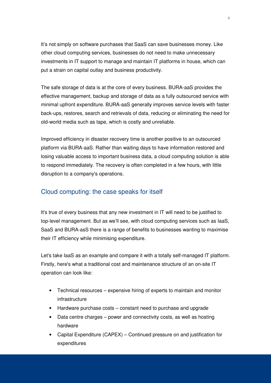It's not simply on software purchases that SaaS can save businesses money. Like other cloud computing services, businesses do not need to make unnecessary investments in IT support to manage and maintain IT platforms in house, which can put a strain on capital outlay and business productivity.

The safe storage of data is at the core of every business. BURA-aaS provides the effective management, backup and storage of data as a fully outsourced service with minimal upfront expenditure. BURA-aaS generally improves service levels with faster back-ups, restores, search and retrievals of data, reducing or eliminating the need for old-world media such as tape, which is costly and unreliable.

Improved efficiency in disaster recovery time is another positive to an outsourced platform via BURA-aaS. Rather than waiting days to have information restored and losing valuable access to important business data, a cloud computing solution is able to respond immediately. The recovery is often completed in a few hours, with little disruption to a company's operations.

#### Cloud computing: the case speaks for itself

It's true of every business that any new investment in IT will need to be justified to top-level management. But as we'll see, with cloud computing services such as IaaS, SaaS and BURA-asS there is a range of benefits to businesses wanting to maximise their IT efficiency while minimising expenditure.

Let's take IaaS as an example and compare it with a totally self-managed IT platform. Firstly, here's what a traditional cost and maintenance structure of an on-site IT operation can look like:

- Technical resources expensive hiring of experts to maintain and monitor infrastructure
- Hardware purchase costs constant need to purchase and upgrade
- Data centre charges power and connectivity costs, as well as hosting hardware
- Capital Expenditure (CAPEX) Continued pressure on and justification for expenditures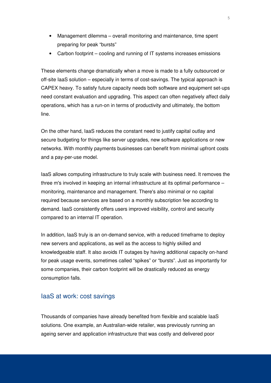- Management dilemma overall monitoring and maintenance, time spent preparing for peak "bursts"
- Carbon footprint cooling and running of IT systems increases emissions

These elements change dramatically when a move is made to a fully outsourced or off-site IaaS solution – especially in terms of cost-savings. The typical approach is CAPEX heavy. To satisfy future capacity needs both software and equipment set-ups need constant evaluation and upgrading. This aspect can often negatively affect daily operations, which has a run-on in terms of productivity and ultimately, the bottom line.

On the other hand, IaaS reduces the constant need to justify capital outlay and secure budgeting for things like server upgrades, new software applications or new networks. With monthly payments businesses can benefit from minimal upfront costs and a pay-per-use model.

IaaS allows computing infrastructure to truly scale with business need. It removes the three m's involved in keeping an internal infrastructure at its optimal performance – monitoring, maintenance and management. There's also minimal or no capital required because services are based on a monthly subscription fee according to demand. IaaS consistently offers users improved visibility, control and security compared to an internal IT operation.

In addition, IaaS truly is an on-demand service, with a reduced timeframe to deploy new servers and applications, as well as the access to highly skilled and knowledgeable staff. It also avoids IT outages by having additional capacity on-hand for peak usage events, sometimes called "spikes" or "bursts". Just as importantly for some companies, their carbon footprint will be drastically reduced as energy consumption falls.

#### IaaS at work: cost savings

Thousands of companies have already benefited from flexible and scalable IaaS solutions. One example, an Australian-wide retailer, was previously running an ageing server and application infrastructure that was costly and delivered poor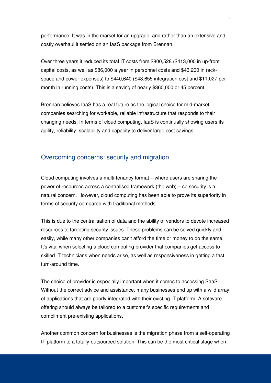performance. It was in the market for an upgrade, and rather than an extensive and costly overhaul it settled on an IaaS package from Brennan.

Over three years it reduced its total IT costs from \$800,528 (\$413,000 in up-front capital costs, as well as \$86,000 a year in personnel costs and \$43,200 in rackspace and power expenses) to \$440,640 (\$43,655 integration cost and \$11,027 per month in running costs). This is a saving of nearly \$360,000 or 45 percent.

Brennan believes IaaS has a real future as the logical choice for mid-market companies searching for workable, reliable infrastructure that responds to their changing needs. In terms of cloud computing, IaaS is continually showing users its agility, reliability, scalability and capacity to deliver large cost savings.

#### Overcoming concerns: security and migration

Cloud computing involves a multi-tenancy format – where users are sharing the power of resources across a centralised framework (the web) – so security is a natural concern. However, cloud computing has been able to prove its superiority in terms of security compared with traditional methods.

This is due to the centralisation of data and the ability of vendors to devote increased resources to targeting security issues. These problems can be solved quickly and easily, while many other companies can't afford the time or money to do the same. It's vital when selecting a cloud computing provider that companies get access to skilled IT technicians when needs arise, as well as responsiveness in getting a fast turn-around time.

The choice of provider is especially important when it comes to accessing SaaS. Without the correct advice and assistance, many businesses end up with a wild array of applications that are poorly integrated with their existing IT platform. A software offering should always be tailored to a customer's specific requirements and compliment pre-existing applications.

Another common concern for businesses is the migration phase from a self-operating IT platform to a totally-outsourced solution. This can be the most critical stage when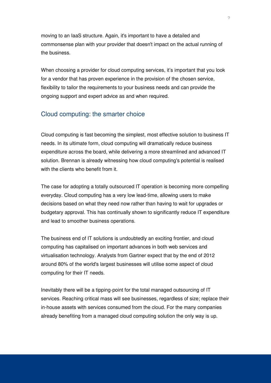moving to an IaaS structure. Again, it's important to have a detailed and commonsense plan with your provider that doesn't impact on the actual running of the business.

When choosing a provider for cloud computing services, it's important that you look for a vendor that has proven experience in the provision of the chosen service, flexibility to tailor the requirements to your business needs and can provide the ongoing support and expert advice as and when required.

#### Cloud computing: the smarter choice

Cloud computing is fast becoming the simplest, most effective solution to business IT needs. In its ultimate form, cloud computing will dramatically reduce business expenditure across the board, while delivering a more streamlined and advanced IT solution. Brennan is already witnessing how cloud computing's potential is realised with the clients who benefit from it.

The case for adopting a totally outsourced IT operation is becoming more compelling everyday. Cloud computing has a very low lead-time, allowing users to make decisions based on what they need now rather than having to wait for upgrades or budgetary approval. This has continually shown to significantly reduce IT expenditure and lead to smoother business operations.

The business end of IT solutions is undoubtedly an exciting frontier, and cloud computing has capitalised on important advances in both web services and virtualisation technology. Analysts from Gartner expect that by the end of 2012 around 80% of the world's largest businesses will utilise some aspect of cloud computing for their IT needs.

Inevitably there will be a tipping-point for the total managed outsourcing of IT services. Reaching critical mass will see businesses, regardless of size; replace their in-house assets with services consumed from the cloud. For the many companies already benefiting from a managed cloud computing solution the only way is up.